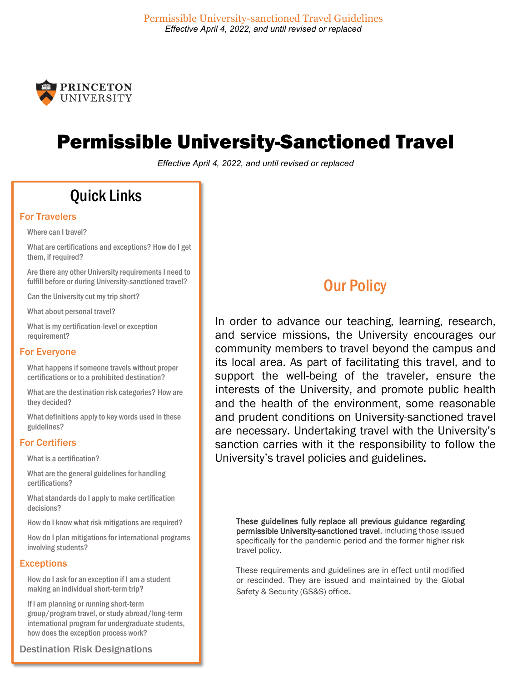

## Permissible University-Sanctioned Travel

*Effective April 4, 2022, and until revised or replaced*

## Quick Links

#### [For Travelers](#page-1-0)

[Where can I travel?](#page-1-1)

[What are certifications and exceptions? How do I get](#page-2-0)  [them, if required?](#page-2-0)

[Are there any other University requirements I need to](#page-3-0)  [fulfill before or during University-sanctioned travel?](#page-3-0)

[Can the University cut my trip short?](#page-4-0)

[What about personal travel?](#page-4-1)

[What is my certification-level or exception](#page-4-2)  [requirement?](#page-4-2)

#### [For Everyone](#page-7-0)

[What happens if someone travels without proper](#page-7-1)  [certifications or to a prohibited destination?](#page-7-1)

[What are the destination risk categories?](#page-7-2) [How are](#page-7-3)  [they decided?](#page-7-3)

[What definitions apply to key words used in these](#page-8-0)  [guidelines?](#page-8-0)

#### [For Certifiers](#page-11-0)

[What is a certification?](#page-11-1)

[What are the general guidelines for handling](#page-11-2)  [certifications?](#page-11-2)

[What standards do I apply to make certification](#page-12-0)  [decisions?](#page-12-0)

[How do I know what risk mitigations are required?](#page-13-0)

[How do I plan mitigations for international programs](#page-14-0)  [involving students?](#page-14-0)

#### **Exceptions**

[How do I ask for an exception if I am a student](#page-15-1)  [making an individual short-term trip?](#page-15-1)

[If I am planning or running short-term](#page-15-2)  [group/program travel, or study abroad/long-term](#page-15-2)  [international program for undergraduate students,](#page-15-2)  [how does the exception process work?](#page-15-2)

[Destination Risk Designations](#page-16-0)

## **Our Policy**

In order to advance our teaching, learning, research, and service missions, the University encourages our community members to travel beyond the campus and its local area. As part of facilitating this travel, and to support the well-being of the traveler, ensure the interests of the University, and promote public health and the health of the environment, some reasonable and prudent conditions on University-sanctioned travel are necessary. Undertaking travel with the University's sanction carries with it the responsibility to follow the University's travel policies and guidelines.

These guidelines fully replace all previous guidance regarding permissible University-sanctioned travel, including those issued specifically for the pandemic period and the former higher risk travel policy.

These requirements and guidelines are in effect until modified or rescinded. They are issued and maintained by the Global Safety & Security (GS&S) office.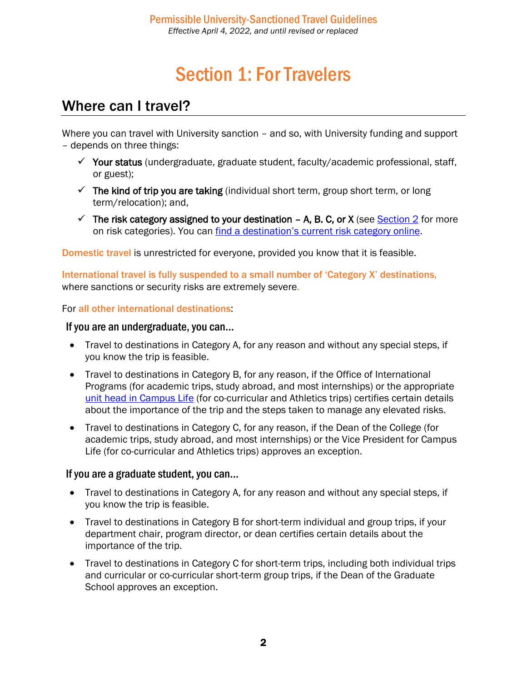# Section 1: For Travelers

### <span id="page-1-1"></span><span id="page-1-0"></span>Where can I travel?

Where you can travel with University sanction – and so, with University funding and support – depends on three things:

- $\checkmark$  Your status (undergraduate, graduate student, faculty/academic professional, staff, or guest);
- $\checkmark$  The kind of trip you are taking (individual short term, group short term, or long term/relocation); and,
- $\checkmark$  The risk category assigned to your destination A, B. C, or X (see [Section 2](#page-7-2) for more on risk categories). You can [find a destination's current risk category online.](https://international.princeton.edu/global-support-resources/destination-guidance#!tabContent2586)

Domestic travel is unrestricted for everyone, provided you know that it is feasible.

International travel is fully suspended to a small number of 'Category X' destinations, where sanctions or security risks are extremely severe.

For all other international destinations:

#### If you are an undergraduate, you can…

- Travel to destinations in Category A, for any reason and without any special steps, if you know the trip is feasible.
- Travel to destinations in Category B, for any reason, if the Office of International Programs (for academic trips, study abroad, and most internships) or the appropriate [unit head in Campus Life](mailto:https://campuslife.princeton.edu/units) (for co-curricular and Athletics trips) certifies certain details about the importance of the trip and the steps taken to manage any elevated risks.
- Travel to destinations in Category C, for any reason, if the Dean of the College (for academic trips, study abroad, and most internships) or the Vice President for Campus Life (for co-curricular and Athletics trips) approves an exception.

#### If you are a graduate student, you can…

- Travel to destinations in Category A, for any reason and without any special steps, if you know the trip is feasible.
- Travel to destinations in Category B for short-term individual and group trips, if your department chair, program director, or dean certifies certain details about the importance of the trip.
- Travel to destinations in Category C for short-term trips, including both individual trips and curricular or co-curricular short-term group trips, if the Dean of the Graduate School approves an exception.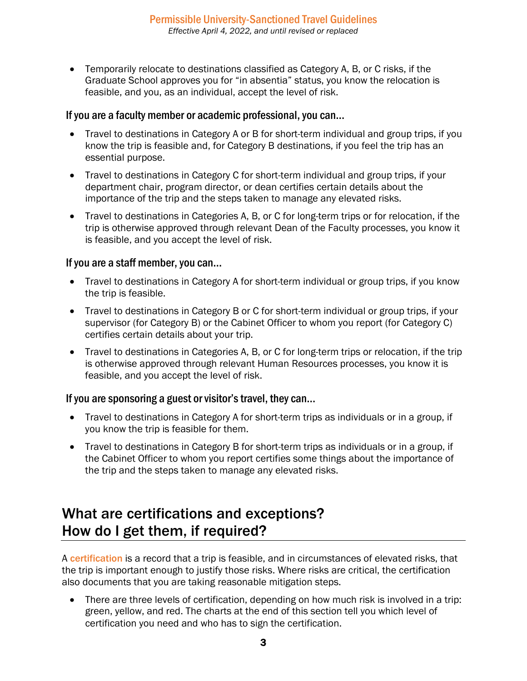• Temporarily relocate to destinations classified as Category A, B, or C risks, if the Graduate School approves you for "in absentia" status, you know the relocation is feasible, and you, as an individual, accept the level of risk.

#### If you are a faculty member or academic professional, you can…

- Travel to destinations in Category A or B for short-term individual and group trips, if you know the trip is feasible and, for Category B destinations, if you feel the trip has an essential purpose.
- Travel to destinations in Category C for short-term individual and group trips, if your department chair, program director, or dean certifies certain details about the importance of the trip and the steps taken to manage any elevated risks.
- Travel to destinations in Categories A, B, or C for long-term trips or for relocation, if the trip is otherwise approved through relevant Dean of the Faculty processes, you know it is feasible, and you accept the level of risk.

#### If you are a staff member, you can…

- Travel to destinations in Category A for short-term individual or group trips, if you know the trip is feasible.
- Travel to destinations in Category B or C for short-term individual or group trips, if your supervisor (for Category B) or the Cabinet Officer to whom you report (for Category C) certifies certain details about your trip.
- Travel to destinations in Categories A, B, or C for long-term trips or relocation, if the trip is otherwise approved through relevant Human Resources processes, you know it is feasible, and you accept the level of risk.

#### If you are sponsoring a guest or visitor's travel, they can…

- Travel to destinations in Category A for short-term trips as individuals or in a group, if you know the trip is feasible for them.
- Travel to destinations in Category B for short-term trips as individuals or in a group, if the Cabinet Officer to whom you report certifies some things about the importance of the trip and the steps taken to manage any elevated risks.

### <span id="page-2-0"></span>What are certifications and exceptions? How do I get them, if required?

A **certification** is a record that a trip is feasible, and in circumstances of elevated risks, that the trip is important enough to justify those risks. Where risks are critical, the certification also documents that you are taking reasonable mitigation steps.

• There are three levels of certification, depending on how much risk is involved in a trip: green, yellow, and red. The charts at the end of this section tell you which level of certification you need and who has to sign the certification.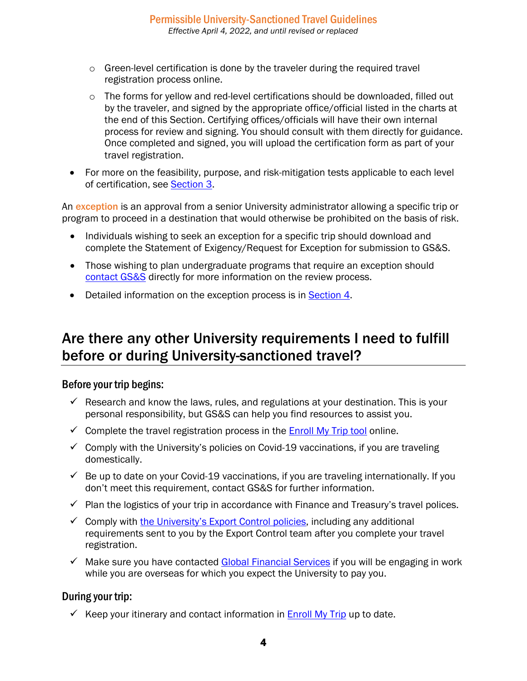- $\circ$  Green-level certification is done by the traveler during the required travel registration process online.
- $\circ$  The forms for yellow and red-level certifications should be downloaded, filled out by the traveler, and signed by the appropriate office/official listed in the charts at the end of this Section. Certifying offices/officials will have their own internal process for review and signing. You should consult with them directly for guidance. Once completed and signed, you will upload the certification form as part of your travel registration.
- For more on the feasibility, purpose, and risk-mitigation tests applicable to each level of certification, see [Section 3.](#page-12-0)

An exception is an approval from a senior University administrator allowing a specific trip or program to proceed in a destination that would otherwise be prohibited on the basis of risk.

- Individuals wishing to seek an exception for a specific trip should download and complete the Statement of Exigency/Request for Exception for submission to GS&S.
- Those wishing to plan undergraduate programs that require an exception should [contact](mailto:globalsafety@princeton.edu) GS&S directly for more information on the review process.
- Detailed information on the exception process is in [Section 4.](#page-15-0)

### <span id="page-3-0"></span>Are there any other University requirements I need to fulfill before or during University-sanctioned travel?

#### Before your trip begins:

- $\checkmark$  Research and know the laws, rules, and regulations at your destination. This is your personal responsibility, but GS&S can help you find resources to assist you.
- $\checkmark$  Complete the travel registration process in the [Enroll My Trip tool](https://enrollmytrip.princeton.edu/) online.
- $\checkmark$  Comply with the University's policies on Covid-19 vaccinations, if you are traveling domestically.
- $\checkmark$  Be up to date on your Covid-19 vaccinations, if you are traveling internationally. If you don't meet this requirement, contact GS&S for further information.
- $\checkmark$  Plan the logistics of your trip in accordance with Finance and Treasury's travel polices.
- $\checkmark$  Comply with [the University's Export Control policies,](https://orpa.princeton.edu/export-controls/exclusions) including any additional requirements sent to you by the Export Control team after you complete your travel registration.
- $\checkmark$  Make sure you have contacted [Global Financial Services](https://finance.princeton.edu/our-organization/departments-and-people/financial-services/global-financial-services) if you will be engaging in work while you are overseas for which you expect the University to pay you.

#### During your trip:

Keep your itinerary and contact information in **Enroll My Trip** up to date.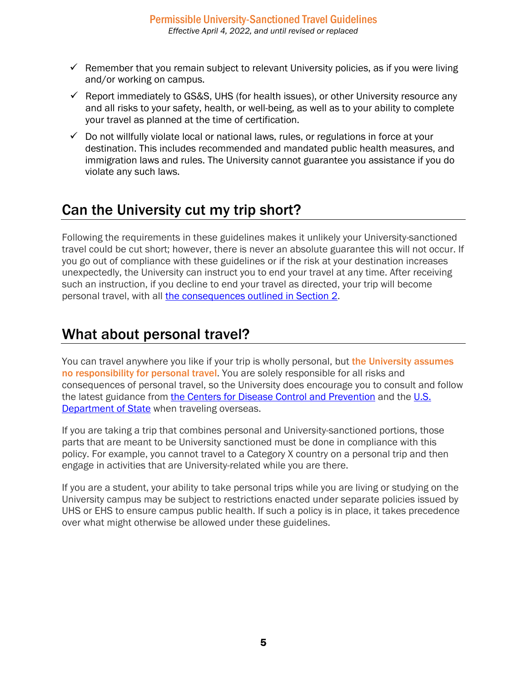- $\checkmark$  Remember that you remain subject to relevant University policies, as if you were living and/or working on campus.
- $\checkmark$  Report immediately to GS&S, UHS (for health issues), or other University resource any and all risks to your safety, health, or well-being, as well as to your ability to complete your travel as planned at the time of certification.
- $\checkmark$  Do not willfully violate local or national laws, rules, or regulations in force at your destination. This includes recommended and mandated public health measures, and immigration laws and rules. The University cannot guarantee you assistance if you do violate any such laws.

## <span id="page-4-0"></span>Can the University cut my trip short?

Following the requirements in these guidelines makes it unlikely your University-sanctioned travel could be cut short; however, there is never an absolute guarantee this will not occur. If you go out of compliance with these guidelines or if the risk at your destination increases unexpectedly, the University can instruct you to end your travel at any time. After receiving such an instruction, if you decline to end your travel as directed, your trip will become personal travel, with all [the consequences outlined in Section 2.](#page-7-1)

### <span id="page-4-1"></span>What about personal travel?

You can travel anywhere you like if your trip is wholly personal, but the University assumes no responsibility for personal travel. You are solely responsible for all risks and consequences of personal travel, so the University does encourage you to consult and follow the latest guidance from [the Centers for Disease Control and Prevention](https://www.cdc.gov/coronavirus/2019-ncov/travelers/travel-during-covid19.html) and the [U.S.](https://travel.state.gov/content/travel/en/traveladvisories/ea/covid-19-information.html)  [Department of State](https://travel.state.gov/content/travel/en/traveladvisories/ea/covid-19-information.html) when traveling overseas.

If you are taking a trip that combines personal and University-sanctioned portions, those parts that are meant to be University sanctioned must be done in compliance with this policy. For example, you cannot travel to a Category X country on a personal trip and then engage in activities that are University-related while you are there.

<span id="page-4-2"></span>If you are a student, your ability to take personal trips while you are living or studying on the University campus may be subject to restrictions enacted under separate policies issued by UHS or EHS to ensure campus public health. If such a policy is in place, it takes precedence over what might otherwise be allowed under these guidelines.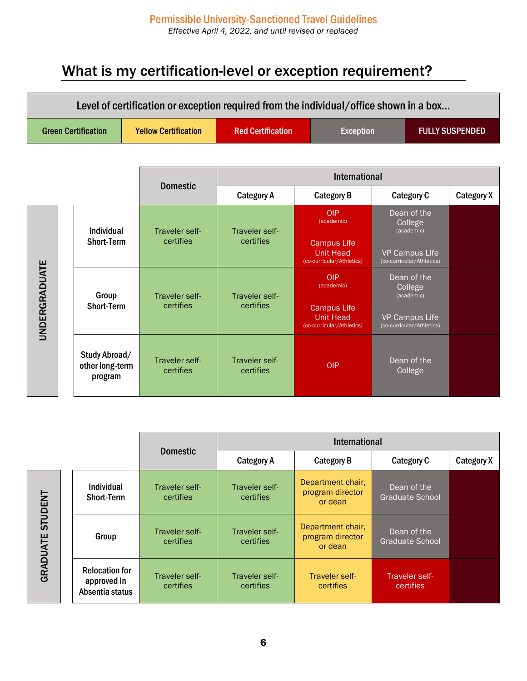## What is my certification-level or exception requirement?

| Level of certification or exception required from the individual/office shown in a box |                                             |                             |                             |                                                                     |                                                    |                        |  |  |
|----------------------------------------------------------------------------------------|---------------------------------------------|-----------------------------|-----------------------------|---------------------------------------------------------------------|----------------------------------------------------|------------------------|--|--|
| <b>Green Certification</b>                                                             |                                             | <b>Yellow Certification</b> | <b>Red Certification</b>    | <b>Exception</b>                                                    |                                                    | <b>FULLY SUSPENDED</b> |  |  |
|                                                                                        |                                             |                             |                             |                                                                     |                                                    |                        |  |  |
|                                                                                        |                                             | <b>Domestic</b>             | <b>International</b>        |                                                                     |                                                    |                        |  |  |
|                                                                                        |                                             |                             | <b>Category A</b>           | <b>Category B</b>                                                   | <b>Category C</b>                                  | <b>Category X</b>      |  |  |
|                                                                                        | Individual                                  | Traveler self-              | Traveler self-              | <b>OIP</b><br>(academic)                                            | Dean of the<br>College<br>(academic)               |                        |  |  |
|                                                                                        | <b>Short-Term</b>                           | certifies                   | certifies                   | <b>Campus Life</b><br><b>Unit Head</b><br>(co-curricular/Athletics) | VP Campus Life<br>(co-curricular/Athletics)        |                        |  |  |
|                                                                                        | Group                                       | Traveler self-              | Traveler self-              | <b>OIP</b><br>(academic)                                            | Dean of the<br>College<br>(academic)               |                        |  |  |
| <b>UNDERGRADUATE</b>                                                                   | <b>Short-Term</b>                           | certifies                   | certifies                   | <b>Campus Life</b><br><b>Unit Head</b><br>(co-curricular/Athletics) | <b>VP Campus Life</b><br>(co-curricular/Athletics) |                        |  |  |
|                                                                                        | Study Abroad/<br>other long-term<br>program | Traveler self-<br>certifies | Traveler self-<br>certifies | <b>OIP</b>                                                          | Dean of the<br>College                             |                        |  |  |

|                            |                                                         | <b>Domestic</b>             | <b>International</b>        |                                                  |                                       |            |
|----------------------------|---------------------------------------------------------|-----------------------------|-----------------------------|--------------------------------------------------|---------------------------------------|------------|
|                            |                                                         |                             | <b>Category A</b>           | <b>Category B</b>                                | Category C                            | Category X |
| <b>STUDENT</b><br>GRADUATE | <b>Individual</b><br><b>Short-Term</b>                  | Traveler self-<br>certifies | Traveler self-<br>certifies | Department chair,<br>program director<br>or dean | Dean of the<br><b>Graduate School</b> |            |
|                            | Group                                                   | Traveler self-<br>certifies | Traveler self-<br>certifies | Department chair,<br>program director<br>or dean | Dean of the<br>Graduate School        |            |
|                            | <b>Relocation for</b><br>approved In<br>Absentia status | Traveler self-<br>certifies | Traveler self-<br>certifies | Traveler self-<br>certifies                      | Traveler self-<br>certifies           |            |

6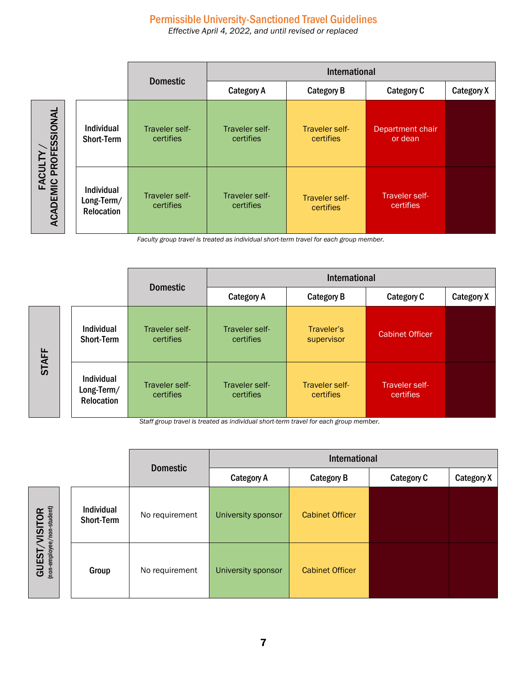### Permissible University-Sanctioned Travel Guidelines

*Effective April 4, 2022, and until revised or replaced*

|                                                  |  |                                                      | <b>Domestic</b>             | International               |                             |                             |            |  |
|--------------------------------------------------|--|------------------------------------------------------|-----------------------------|-----------------------------|-----------------------------|-----------------------------|------------|--|
|                                                  |  |                                                      |                             | <b>Category A</b>           | <b>Category B</b>           | <b>Category C</b>           | Category X |  |
| FACULTY /<br>IIC PROFESSIONAL<br><b>ACADEMIC</b> |  | Individual<br><b>Short-Term</b>                      | Traveler self-<br>certifies | Traveler self-<br>certifies | Traveler self-<br>certifies | Department chair<br>or dean |            |  |
|                                                  |  | <b>Individual</b><br>Long-Term/<br><b>Relocation</b> | Traveler self-<br>certifies | Traveler self-<br>certifies | Traveler self-<br>certifies | Traveler self-<br>certifies |            |  |

*Faculty group travel is treated as individual short-term travel for each group member.*

|              |  |                                                      | <b>Domestic</b>             | International               |                             |                             |                   |
|--------------|--|------------------------------------------------------|-----------------------------|-----------------------------|-----------------------------|-----------------------------|-------------------|
|              |  |                                                      |                             | <b>Category A</b>           | <b>Category B</b>           | Category C                  | <b>Category X</b> |
| <b>STAFF</b> |  | <b>Individual</b><br><b>Short-Term</b>               | Traveler self-<br>certifies | Traveler self-<br>certifies | Traveler's<br>supervisor    | <b>Cabinet Officer</b>      |                   |
|              |  | <b>Individual</b><br>Long-Term/<br><b>Relocation</b> | Traveler self-<br>certifies | Traveler self-<br>certifies | Traveler self-<br>certifies | Traveler self-<br>certifies |                   |

*Staff group travel is treated as individual short-term travel for each group member.*

|                                                 |  |                                 | <b>Domestic</b> | International      |                        |                   |                   |
|-------------------------------------------------|--|---------------------------------|-----------------|--------------------|------------------------|-------------------|-------------------|
|                                                 |  |                                 |                 | <b>Category A</b>  | <b>Category B</b>      | <b>Category C</b> | <b>Category X</b> |
| (non-employee/non-student)<br>VISITOR<br>GUEST/ |  | <b>Individual</b><br>Short-Term | No requirement  | University sponsor | <b>Cabinet Officer</b> |                   |                   |
|                                                 |  | Group                           | No requirement  | University sponsor | <b>Cabinet Officer</b> |                   |                   |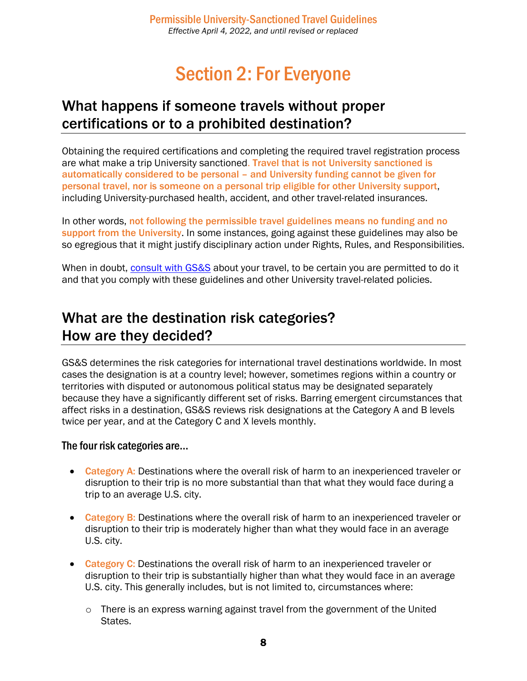## Section 2: For Everyone

### <span id="page-7-1"></span><span id="page-7-0"></span>What happens if someone travels without proper certifications or to a prohibited destination?

Obtaining the required certifications and completing the required travel registration process are what make a trip University sanctioned. Travel that is not University sanctioned is automatically considered to be personal – and University funding cannot be given for personal travel, nor is someone on a personal trip eligible for other University support, including University-purchased health, accident, and other travel-related insurances.

In other words, not following the permissible travel guidelines means no funding and no support from the University. In some instances, going against these guidelines may also be so egregious that it might justify disciplinary action under Rights, Rules, and Responsibilities.

When in doubt, [consult with GS&S](mailto:globalsafety@princeton.edu) about your travel, to be certain you are permitted to do it and that you comply with these guidelines and other University travel-related policies.

### <span id="page-7-3"></span><span id="page-7-2"></span>What are the destination risk categories? How are they decided?

GS&S determines the risk categories for international travel destinations worldwide. In most cases the designation is at a country level; however, sometimes regions within a country or territories with disputed or autonomous political status may be designated separately because they have a significantly different set of risks. Barring emergent circumstances that affect risks in a destination, GS&S reviews risk designations at the Category A and B levels twice per year, and at the Category C and X levels monthly.

#### The four risk categories are…

- Category A: Destinations where the overall risk of harm to an inexperienced traveler or disruption to their trip is no more substantial than that what they would face during a trip to an average U.S. city.
- Category B: Destinations where the overall risk of harm to an inexperienced traveler or disruption to their trip is moderately higher than what they would face in an average U.S. city.
- **Category C:** Destinations the overall risk of harm to an inexperienced traveler or disruption to their trip is substantially higher than what they would face in an average U.S. city. This generally includes, but is not limited to, circumstances where:
	- o There is an express warning against travel from the government of the United States.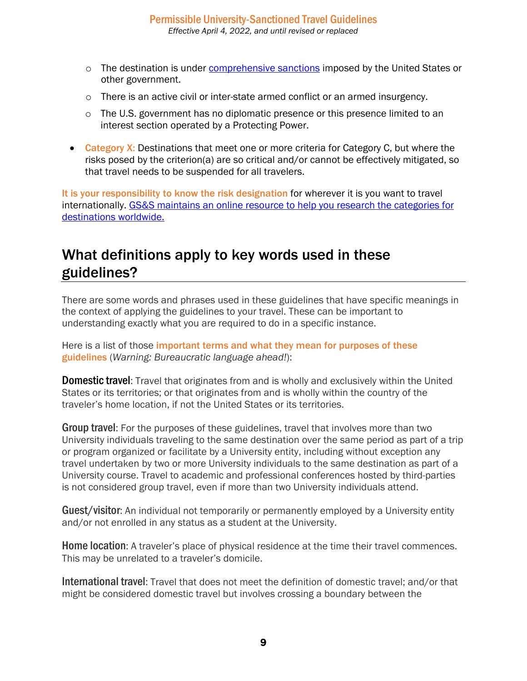- $\circ$  The destination is under [comprehensive sanctions](https://orpa.princeton.edu/export-controls/sanctioned-countries) imposed by the United States or other government.
- o There is an active civil or inter-state armed conflict or an armed insurgency.
- $\circ$  The U.S. government has no diplomatic presence or this presence limited to an interest section operated by a Protecting Power.
- Category X: Destinations that meet one or more criteria for Category C, but where the risks posed by the criterion(a) are so critical and/or cannot be effectively mitigated, so that travel needs to be suspended for all travelers.

It is your responsibility to know the risk designation for wherever it is you want to travel internationally. [GS&S maintains an online resource to help you research the categories for](https://international.princeton.edu/global-support-resources/destination-guidance)  [destinations worldwide.](https://international.princeton.edu/global-support-resources/destination-guidance)

### <span id="page-8-0"></span>What definitions apply to key words used in these guidelines?

There are some words and phrases used in these guidelines that have specific meanings in the context of applying the guidelines to your travel. These can be important to understanding exactly what you are required to do in a specific instance.

Here is a list of those important terms and what they mean for purposes of these guidelines (*Warning: Bureaucratic language ahead!*):

**Domestic travel:** Travel that originates from and is wholly and exclusively within the United States or its territories; or that originates from and is wholly within the country of the traveler's home location, if not the United States or its territories.

**Group travel:** For the purposes of these guidelines, travel that involves more than two University individuals traveling to the same destination over the same period as part of a trip or program organized or facilitate by a University entity, including without exception any travel undertaken by two or more University individuals to the same destination as part of a University course. Travel to academic and professional conferences hosted by third-parties is not considered group travel, even if more than two University individuals attend.

**Guest/visitor:** An individual not temporarily or permanently employed by a University entity and/or not enrolled in any status as a student at the University.

Home location: A traveler's place of physical residence at the time their travel commences. This may be unrelated to a traveler's domicile.

International travel: Travel that does not meet the definition of domestic travel; and/or that might be considered domestic travel but involves crossing a boundary between the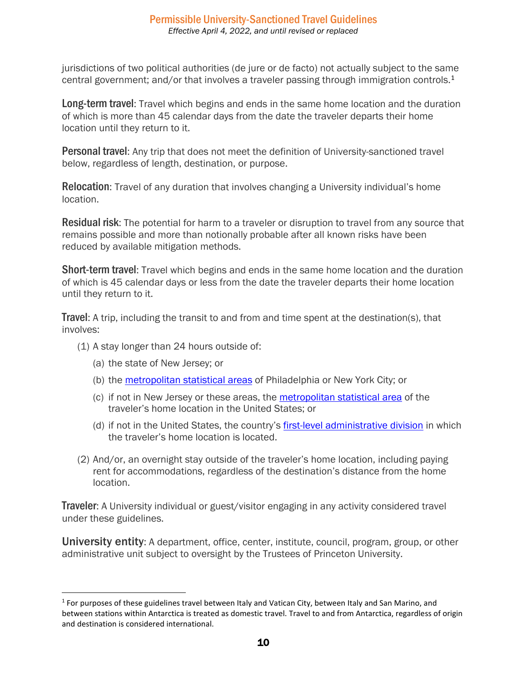jurisdictions of two political authorities (de jure or de facto) not actually subject to the same central government; and/or that involves a traveler passing through immigration controls.<sup>[1](#page-9-0)</sup>

Long-term travel: Travel which begins and ends in the same home location and the duration of which is more than 45 calendar days from the date the traveler departs their home location until they return to it.

Personal travel: Any trip that does not meet the definition of University-sanctioned travel below, regardless of length, destination, or purpose.

Relocation: Travel of any duration that involves changing a University individual's home location.

**Residual risk:** The potential for harm to a traveler or disruption to travel from any source that remains possible and more than notionally probable after all known risks have been reduced by available mitigation methods.

**Short-term travel:** Travel which begins and ends in the same home location and the duration of which is 45 calendar days or less from the date the traveler departs their home location until they return to it.

**Travel:** A trip, including the transit to and from and time spent at the destination(s), that involves:

- (1) A stay longer than 24 hours outside of:
	- (a) the state of New Jersey; or
	- (b) the metropolitan [statistical areas](https://en.wikipedia.org/wiki/List_of_metropolitan_statistical_areas) of Philadelphia or New York City; or
	- (c) if not in New Jersey or these areas, the [metropolitan statistical area](https://en.wikipedia.org/wiki/List_of_metropolitan_statistical_areas) of the traveler's home location in the United States; or
	- (d) if not in the United States, the country's [first-level administrative division](https://en.wikipedia.org/wiki/List_of_administrative_divisions_by_country) in which the traveler's home location is located.
- (2) And/or, an overnight stay outside of the traveler's home location, including paying rent for accommodations, regardless of the destination's distance from the home location.

**Traveler:** A University individual or guest/visitor engaging in any activity considered travel under these guidelines.

**University entity:** A department, office, center, institute, council, program, group, or other administrative unit subject to oversight by the Trustees of Princeton University.

<span id="page-9-0"></span> $1$  For purposes of these guidelines travel between Italy and Vatican City, between Italy and San Marino, and between stations within Antarctica is treated as domestic travel. Travel to and from Antarctica, regardless of origin and destination is considered international.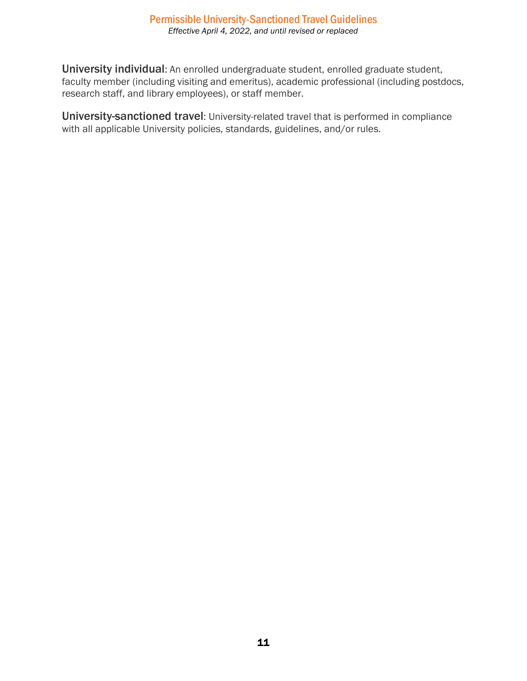University individual: An enrolled undergraduate student, enrolled graduate student, faculty member (including visiting and emeritus), academic professional (including postdocs, research staff, and library employees), or staff member.

University-sanctioned travel: University-related travel that is performed in compliance with all applicable University policies, standards, guidelines, and/or rules.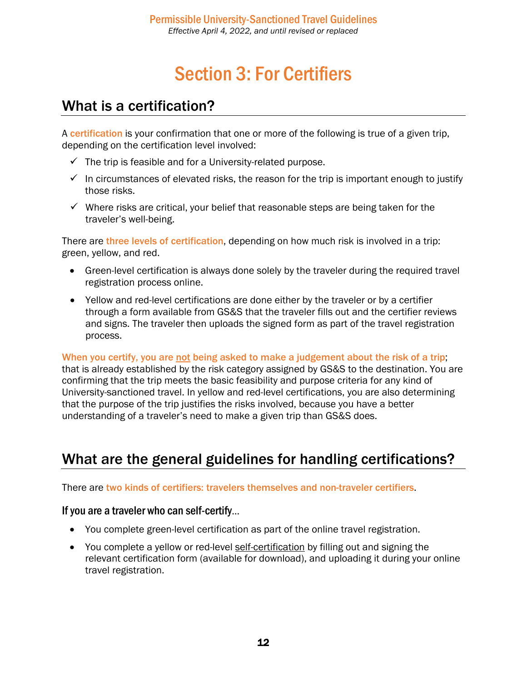# Section 3: For Certifiers

### <span id="page-11-1"></span><span id="page-11-0"></span>What is a certification?

A certification is your confirmation that one or more of the following is true of a given trip, depending on the certification level involved:

- $\checkmark$  The trip is feasible and for a University-related purpose.
- $\checkmark$  In circumstances of elevated risks, the reason for the trip is important enough to justify those risks.
- $\checkmark$  Where risks are critical, your belief that reasonable steps are being taken for the traveler's well-being.

There are three levels of certification, depending on how much risk is involved in a trip: green, yellow, and red.

- Green-level certification is always done solely by the traveler during the required travel registration process online.
- Yellow and red-level certifications are done either by the traveler or by a certifier through a form available from GS&S that the traveler fills out and the certifier reviews and signs. The traveler then uploads the signed form as part of the travel registration process.

When you certify, you are not being asked to make a judgement about the risk of a trip; that is already established by the risk category assigned by GS&S to the destination. You are confirming that the trip meets the basic feasibility and purpose criteria for any kind of University-sanctioned travel. In yellow and red-level certifications, you are also determining that the purpose of the trip justifies the risks involved, because you have a better understanding of a traveler's need to make a given trip than GS&S does.

## <span id="page-11-2"></span>What are the general guidelines for handling certifications?

There are two kinds of certifiers: travelers themselves and non-traveler certifiers.

#### If you are a traveler who can self-certify…

- You complete green-level certification as part of the online travel registration.
- You complete a yellow or red-level self-certification by filling out and signing the relevant certification form (available for download), and uploading it during your online travel registration.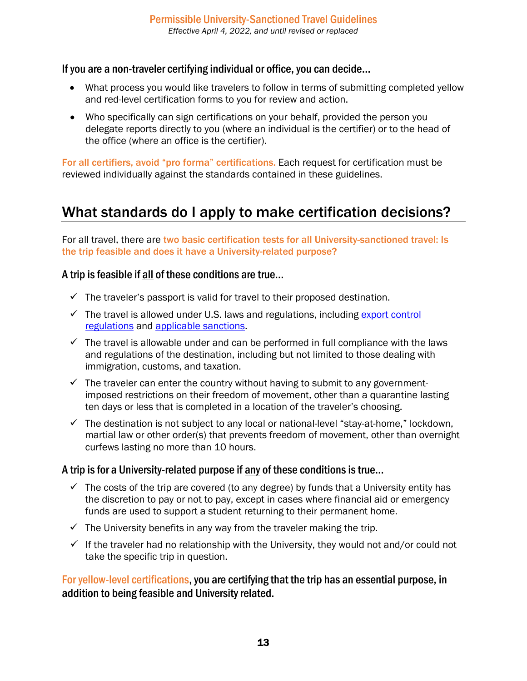#### If you are a non-traveler certifying individual or office, you can decide…

- What process you would like travelers to follow in terms of submitting completed yellow and red-level certification forms to you for review and action.
- Who specifically can sign certifications on your behalf, provided the person you delegate reports directly to you (where an individual is the certifier) or to the head of the office (where an office is the certifier).

For all certifiers, avoid "pro forma" certifications. Each request for certification must be reviewed individually against the standards contained in these guidelines.

## <span id="page-12-0"></span>What standards do I apply to make certification decisions?

For all travel, there are two basic certification tests for all University-sanctioned travel: Is the trip feasible and does it have a University-related purpose?

### A trip is feasible if all of these conditions are true…

- $\checkmark$  The traveler's passport is valid for travel to their proposed destination.
- $\checkmark$  The travel is allowed under U.S. laws and regulations, including export control [regulations](https://orpa.princeton.edu/export-controls/exclusions) and [applicable sanctions.](https://orpa.princeton.edu/export-controls/sanctioned-countries)
- $\checkmark$  The travel is allowable under and can be performed in full compliance with the laws and regulations of the destination, including but not limited to those dealing with immigration, customs, and taxation.
- $\checkmark$  The traveler can enter the country without having to submit to any governmentimposed restrictions on their freedom of movement, other than a quarantine lasting ten days or less that is completed in a location of the traveler's choosing.
- $\checkmark$  The destination is not subject to any local or national-level "stay-at-home," lockdown, martial law or other order(s) that prevents freedom of movement, other than overnight curfews lasting no more than 10 hours.

### A trip is for a University-related purpose if any of these conditions is true…

- $\checkmark$  The costs of the trip are covered (to any degree) by funds that a University entity has the discretion to pay or not to pay, except in cases where financial aid or emergency funds are used to support a student returning to their permanent home.
- $\checkmark$  The University benefits in any way from the traveler making the trip.
- $\checkmark$  If the traveler had no relationship with the University, they would not and/or could not take the specific trip in question.

For yellow-level certifications, you are certifying that the trip has an essential purpose, in addition to being feasible and University related.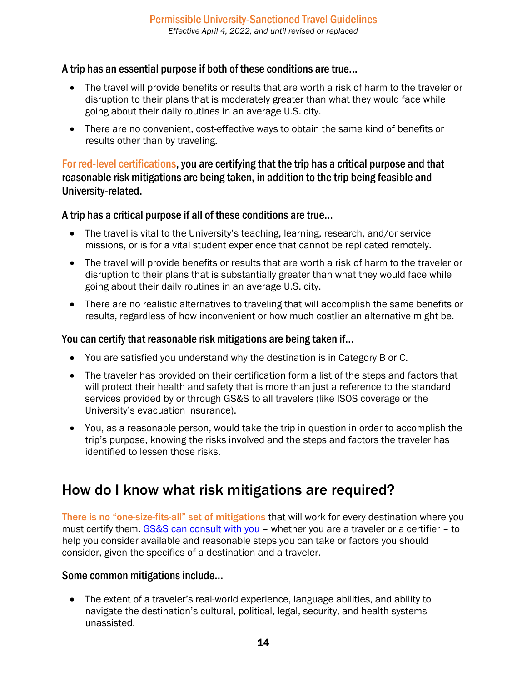### A trip has an essential purpose if both of these conditions are true…

- The travel will provide benefits or results that are worth a risk of harm to the traveler or disruption to their plans that is moderately greater than what they would face while going about their daily routines in an average U.S. city.
- There are no convenient, cost-effective ways to obtain the same kind of benefits or results other than by traveling.

### For red-level certifications, you are certifying that the trip has a critical purpose and that reasonable risk mitigations are being taken, in addition to the trip being feasible and University-related.

A trip has a critical purpose if all of these conditions are true…

- The travel is vital to the University's teaching, learning, research, and/or service missions, or is for a vital student experience that cannot be replicated remotely.
- The travel will provide benefits or results that are worth a risk of harm to the traveler or disruption to their plans that is substantially greater than what they would face while going about their daily routines in an average U.S. city.
- There are no realistic alternatives to traveling that will accomplish the same benefits or results, regardless of how inconvenient or how much costlier an alternative might be.

### You can certify that reasonable risk mitigations are being taken if…

- You are satisfied you understand why the destination is in Category B or C.
- The traveler has provided on their certification form a list of the steps and factors that will protect their health and safety that is more than just a reference to the standard services provided by or through GS&S to all travelers (like ISOS coverage or the University's evacuation insurance).
- You, as a reasonable person, would take the trip in question in order to accomplish the trip's purpose, knowing the risks involved and the steps and factors the traveler has identified to lessen those risks.

### <span id="page-13-0"></span>How do I know what risk mitigations are required?

There is no "one-size-fits-all" set of mitigations that will work for every destination where you must certify them. [GS&S can consult with you](mailto:globalsafety@princeton.edu) - whether you are a traveler or a certifier - to help you consider available and reasonable steps you can take or factors you should consider, given the specifics of a destination and a traveler.

### Some common mitigations include…

• The extent of a traveler's real-world experience, language abilities, and ability to navigate the destination's cultural, political, legal, security, and health systems unassisted.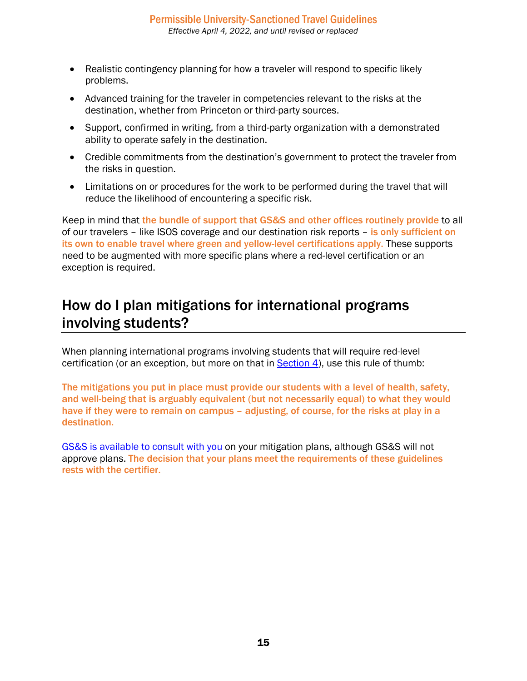- Realistic contingency planning for how a traveler will respond to specific likely problems.
- Advanced training for the traveler in competencies relevant to the risks at the destination, whether from Princeton or third-party sources.
- Support, confirmed in writing, from a third-party organization with a demonstrated ability to operate safely in the destination.
- Credible commitments from the destination's government to protect the traveler from the risks in question.
- Limitations on or procedures for the work to be performed during the travel that will reduce the likelihood of encountering a specific risk.

Keep in mind that the bundle of support that GS&S and other offices routinely provide to all of our travelers – like ISOS coverage and our destination risk reports – is only sufficient on its own to enable travel where green and yellow-level certifications apply. These supports need to be augmented with more specific plans where a red-level certification or an exception is required.

### <span id="page-14-0"></span>How do I plan mitigations for international programs involving students?

When planning international programs involving students that will require red-level certification (or an exception, but more on that in [Section 4\)](#page-15-0), use this rule of thumb:

The mitigations you put in place must provide our students with a level of health, safety, and well-being that is arguably equivalent (but not necessarily equal) to what they would have if they were to remain on campus – adjusting, of course, for the risks at play in a destination.

[GS&S is available to consult with you](mailto:globalsafety@princeton.edu) on your mitigation plans, although GS&S will not approve plans. The decision that your plans meet the requirements of these guidelines rests with the certifier.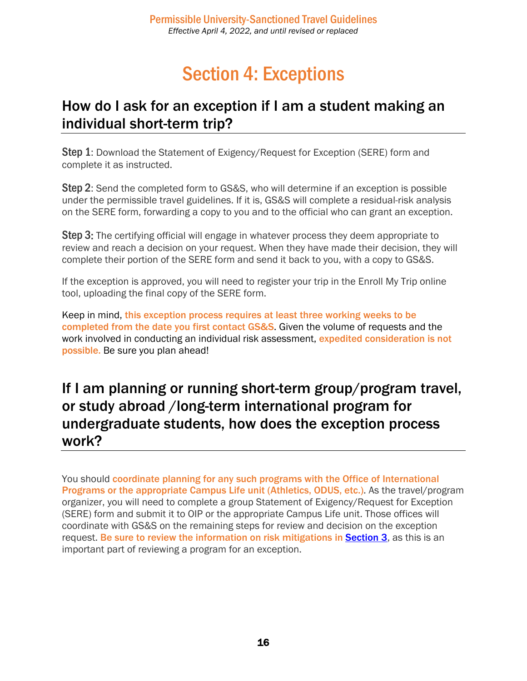# Section 4: Exceptions

### <span id="page-15-1"></span><span id="page-15-0"></span>How do I ask for an exception if I am a student making an individual short-term trip?

Step 1: Download the Statement of Exigency/Request for Exception (SERE) form and complete it as instructed.

Step 2: Send the completed form to GS&S, who will determine if an exception is possible under the permissible travel guidelines. If it is, GS&S will complete a residual-risk analysis on the SERE form, forwarding a copy to you and to the official who can grant an exception.

**Step 3:** The certifying official will engage in whatever process they deem appropriate to review and reach a decision on your request. When they have made their decision, they will complete their portion of the SERE form and send it back to you, with a copy to GS&S.

If the exception is approved, you will need to register your trip in the Enroll My Trip online tool, uploading the final copy of the SERE form.

Keep in mind, this exception process requires at least three working weeks to be completed from the date you first contact GS&S. Given the volume of requests and the work involved in conducting an individual risk assessment, expedited consideration is not possible. Be sure you plan ahead!

### <span id="page-15-2"></span>If I am planning or running short-term group/program travel, or study abroad /long-term international program for undergraduate students, how does the exception process work?

You should coordinate planning for any such programs with the Office of International Programs or the appropriate Campus Life unit (Athletics, ODUS, etc.). As the travel/program organizer, you will need to complete a group Statement of Exigency/Request for Exception (SERE) form and submit it to OIP or the appropriate Campus Life unit. Those offices will coordinate with GS&S on the remaining steps for review and decision on the exception request. Be sure to review the information on risk mitigations in [Section 3](#page-13-0), as this is an important part of reviewing a program for an exception.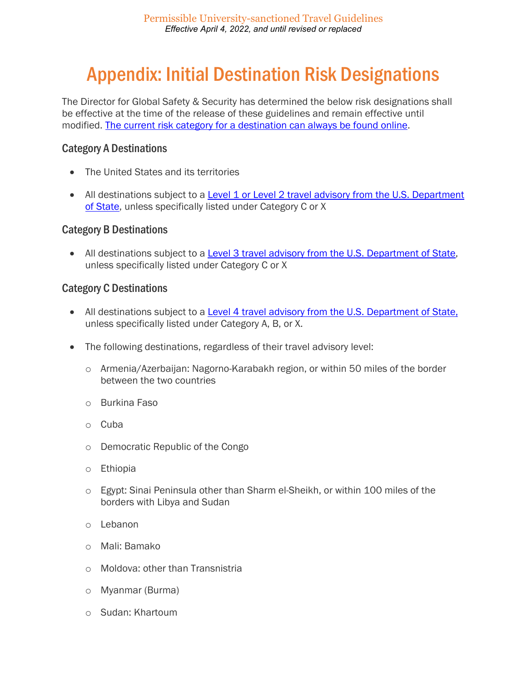# <span id="page-16-0"></span>Appendix: Initial Destination Risk Designations

The Director for Global Safety & Security has determined the below risk designations shall be effective at the time of the release of these guidelines and remain effective until modified. [The current risk category for a destination can always be found online.](https://international.princeton.edu/global-support-resources/destination-guidance#!tabContent2586)

#### Category A Destinations

- The United States and its territories
- All destinations subject to a Level 1 or Level 2 travel advisory from the U.S. Department [of State,](https://travel.state.gov/content/travel/en/traveladvisories/traveladvisories.html/) unless specifically listed under Category C or X

#### Category B Destinations

• All destinations subject to a [Level 3 travel advisory from the U.S. Department of State,](https://travel.state.gov/content/travel/en/traveladvisories/traveladvisories.html/) unless specifically listed under Category C or X

#### Category C Destinations

- All destinations subject to a [Level 4 travel advisory from the U.S. Department of State,](https://travel.state.gov/content/travel/en/traveladvisories/traveladvisories.html/) unless specifically listed under Category A, B, or X.
- The following destinations, regardless of their travel advisory level:
	- o Armenia/Azerbaijan: Nagorno-Karabakh region, or within 50 miles of the border between the two countries
	- o Burkina Faso
	- o Cuba
	- o Democratic Republic of the Congo
	- o Ethiopia
	- o Egypt: Sinai Peninsula other than Sharm el-Sheikh, or within 100 miles of the borders with Libya and Sudan
	- o Lebanon
	- o Mali: Bamako
	- o Moldova: other than Transnistria
	- o Myanmar (Burma)
	- o Sudan: Khartoum